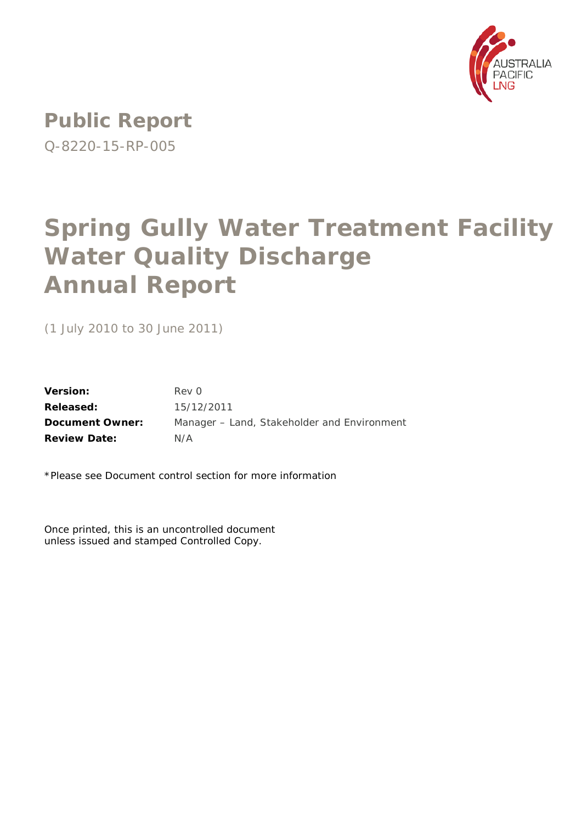

**Public Report** Q-8220-15-RP-005

# **Spring Gully Water Treatment Facility Water Quality Discharge Annual Report**

(1 July 2010 to 30 June 2011)

**Version:** Rev 0 **Released:** 15/12/2011 **Document Owner:** Manager – Land, Stakeholder and Environment **Review Date:** N/A

\*Please see Document control section for more information

Once printed, this is an uncontrolled document unless issued and stamped Controlled Copy.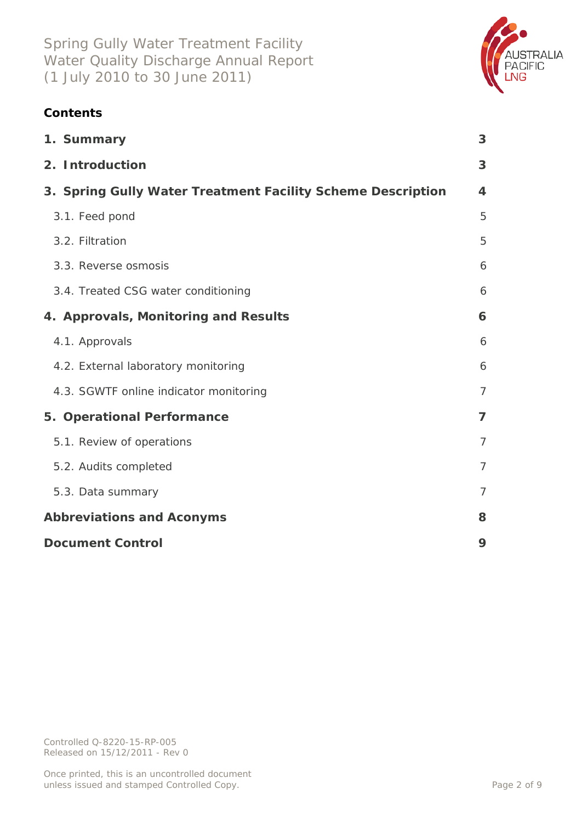

## **Contents**

| 1. Summary                                                  | 3                       |
|-------------------------------------------------------------|-------------------------|
| 2. Introduction                                             | 3                       |
| 3. Spring Gully Water Treatment Facility Scheme Description | $\overline{\mathbf{4}}$ |
| 3.1. Feed pond                                              | 5                       |
| 3.2. Filtration                                             | 5                       |
| 3.3. Reverse osmosis                                        | 6                       |
| 3.4. Treated CSG water conditioning                         | 6                       |
| 4. Approvals, Monitoring and Results                        | 6                       |
| 4.1. Approvals                                              | 6                       |
| 4.2. External laboratory monitoring                         | 6                       |
| 4.3. SGWTF online indicator monitoring                      | $\overline{7}$          |
| 5. Operational Performance                                  | $\overline{7}$          |
| 5.1. Review of operations                                   | $\overline{7}$          |
| 5.2. Audits completed                                       | $\overline{7}$          |
| 5.3. Data summary                                           | $\overline{7}$          |
| <b>Abbreviations and Aconyms</b>                            | 8                       |
| <b>Document Control</b>                                     | 9                       |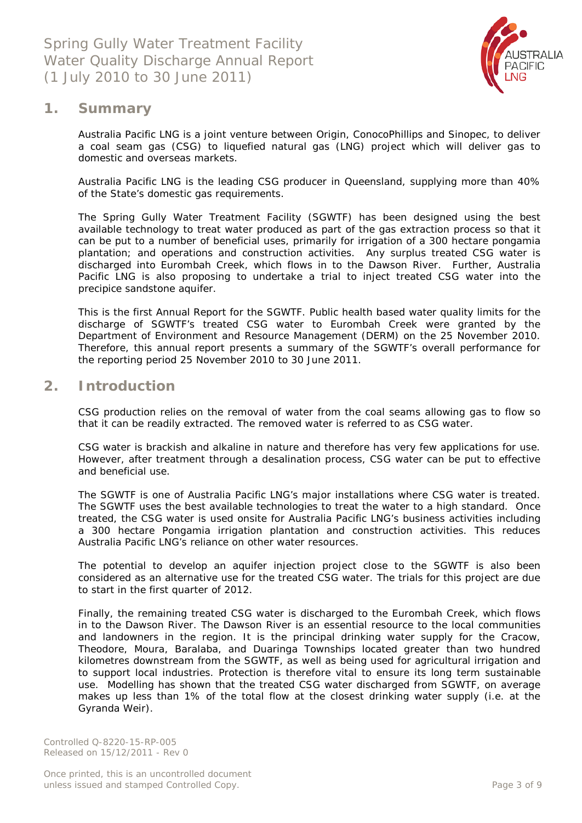

### <span id="page-2-0"></span>**1. Summary**

Australia Pacific LNG is a joint venture between Origin, ConocoPhillips and Sinopec, to deliver a coal seam gas (CSG) to liquefied natural gas (LNG) project which will deliver gas to domestic and overseas markets.

Australia Pacific LNG is the leading CSG producer in Queensland, supplying more than 40% of the State's domestic gas requirements.

The Spring Gully Water Treatment Facility (SGWTF) has been designed using the best available technology to treat water produced as part of the gas extraction process so that it can be put to a number of beneficial uses, primarily for irrigation of a 300 hectare pongamia plantation; and operations and construction activities. Any surplus treated CSG water is discharged into Eurombah Creek, which flows in to the Dawson River. Further, Australia Pacific LNG is also proposing to undertake a trial to inject treated CSG water into the precipice sandstone aquifer.

This is the first Annual Report for the SGWTF. Public health based water quality limits for the discharge of SGWTF's treated CSG water to Eurombah Creek were granted by the Department of Environment and Resource Management (DERM) on the 25 November 2010. Therefore, this annual report presents a summary of the SGWTF's overall performance for the reporting period 25 November 2010 to 30 June 2011.

## <span id="page-2-1"></span>**2. Introduction**

CSG production relies on the removal of water from the coal seams allowing gas to flow so that it can be readily extracted. The removed water is referred to as CSG water.

CSG water is brackish and alkaline in nature and therefore has very few applications for use. However, after treatment through a desalination process, CSG water can be put to effective and beneficial use.

The SGWTF is one of Australia Pacific LNG's major installations where CSG water is treated. The SGWTF uses the best available technologies to treat the water to a high standard. Once treated, the CSG water is used onsite for Australia Pacific LNG's business activities including a 300 hectare Pongamia irrigation plantation and construction activities. This reduces Australia Pacific LNG's reliance on other water resources.

The potential to develop an aquifer injection project close to the SGWTF is also been considered as an alternative use for the treated CSG water. The trials for this project are due to start in the first quarter of 2012.

Finally, the remaining treated CSG water is discharged to the Eurombah Creek, which flows in to the Dawson River. The Dawson River is an essential resource to the local communities and landowners in the region. It is the principal drinking water supply for the Cracow, Theodore, Moura, Baralaba, and Duaringa Townships located greater than two hundred kilometres downstream from the SGWTF, as well as being used for agricultural irrigation and to support local industries. Protection is therefore vital to ensure its long term sustainable use. Modelling has shown that the treated CSG water discharged from SGWTF, on average makes up less than 1% of the total flow at the closest drinking water supply (i.e. at the Gyranda Weir).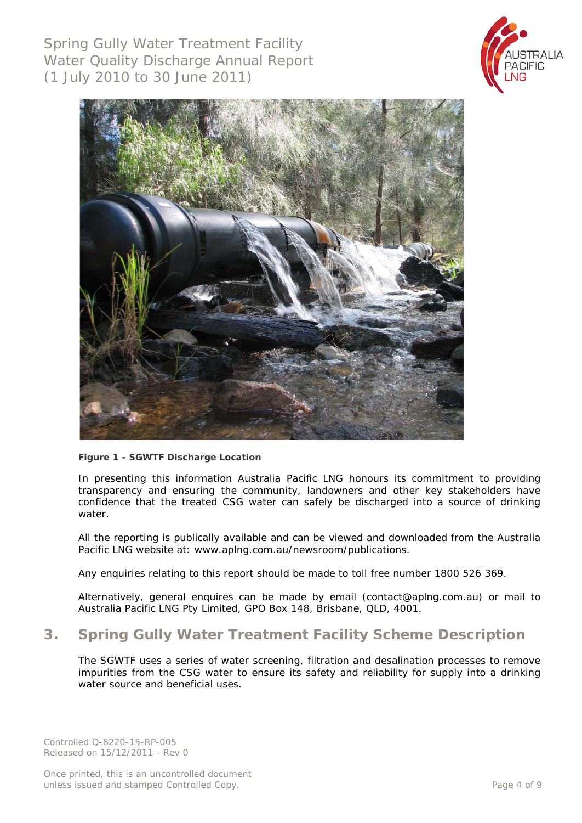Spring Gully Water Treatment Facility Water Quality Discharge Annual Report (1 July 2010 to 30 June 2011)





#### **Figure 1 - SGWTF Discharge Location**

In presenting this information Australia Pacific LNG honours its commitment to providing transparency and ensuring the community, landowners and other key stakeholders have confidence that the treated CSG water can safely be discharged into a source of drinking water.

All the reporting is publically available and can be viewed and downloaded from the Australia Pacific LNG website at: www.aplng.com.au/newsroom/publications.

Any enquiries relating to this report should be made to toll free number 1800 526 369.

Alternatively, general enquires can be made by email [\(contact@aplng.com.au\)](mailto:contact@aplng.com.au) or mail to Australia Pacific LNG Pty Limited, GPO Box 148, Brisbane, QLD, 4001.

## <span id="page-3-0"></span>**3. Spring Gully Water Treatment Facility Scheme Description**

The SGWTF uses a series of water screening, filtration and desalination processes to remove impurities from the CSG water to ensure its safety and reliability for supply into a drinking water source and beneficial uses.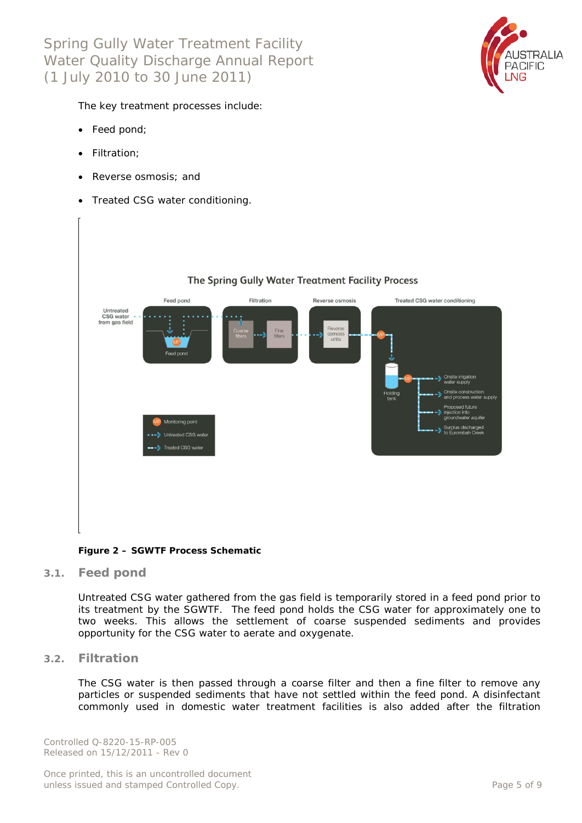Spring Gully Water Treatment Facility Water Quality Discharge Annual Report (1 July 2010 to 30 June 2011)



The key treatment processes include:

- Feed pond;
- Filtration;
- Reverse osmosis; and
- Treated CSG water conditioning.



**Figure 2 – SGWTF Process Schematic**

<span id="page-4-0"></span>**3.1. Feed pond**

Untreated CSG water gathered from the gas field is temporarily stored in a feed pond prior to its treatment by the SGWTF. The feed pond holds the CSG water for approximately one to two weeks. This allows the settlement of coarse suspended sediments and provides opportunity for the CSG water to aerate and oxygenate.

<span id="page-4-1"></span>**3.2. Filtration**

The CSG water is then passed through a coarse filter and then a fine filter to remove any particles or suspended sediments that have not settled within the feed pond. A disinfectant commonly used in domestic water treatment facilities is also added after the filtration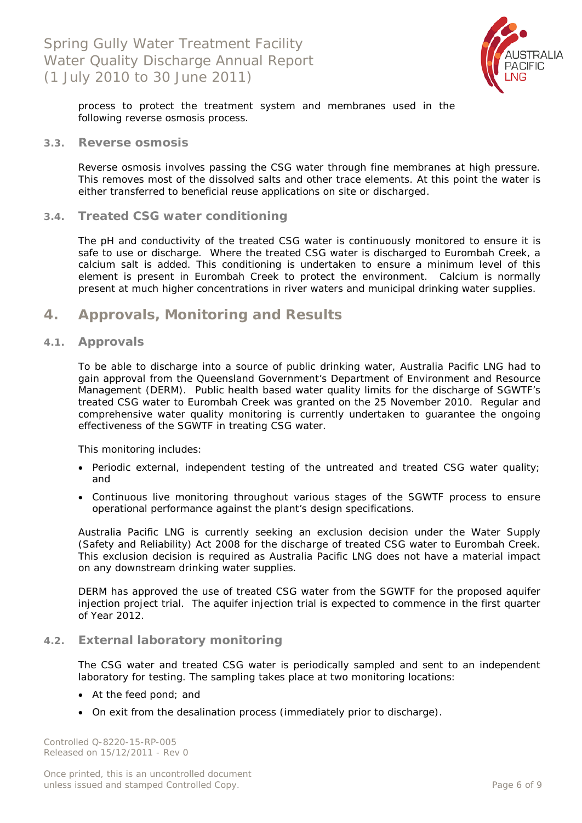

process to protect the treatment system and membranes used in the following reverse osmosis process.

#### <span id="page-5-0"></span>**3.3. Reverse osmosis**

Reverse osmosis involves passing the CSG water through fine membranes at high pressure. This removes most of the dissolved salts and other trace elements. At this point the water is either transferred to beneficial reuse applications on site or discharged.

#### <span id="page-5-1"></span>**3.4. Treated CSG water conditioning**

The pH and conductivity of the treated CSG water is continuously monitored to ensure it is safe to use or discharge. Where the treated CSG water is discharged to Eurombah Creek, a calcium salt is added. This conditioning is undertaken to ensure a minimum level of this element is present in Eurombah Creek to protect the environment. Calcium is normally present at much higher concentrations in river waters and municipal drinking water supplies.

## <span id="page-5-2"></span>**4. Approvals, Monitoring and Results**

#### <span id="page-5-3"></span>**4.1. Approvals**

To be able to discharge into a source of public drinking water, Australia Pacific LNG had to gain approval from the Queensland Government's Department of Environment and Resource Management (DERM). Public health based water quality limits for the discharge of SGWTF's treated CSG water to Eurombah Creek was granted on the 25 November 2010. Regular and comprehensive water quality monitoring is currently undertaken to guarantee the ongoing effectiveness of the SGWTF in treating CSG water.

This monitoring includes:

- Periodic external, independent testing of the untreated and treated CSG water quality; and
- Continuous live monitoring throughout various stages of the SGWTF process to ensure operational performance against the plant's design specifications.

Australia Pacific LNG is currently seeking an exclusion decision under the *Water Supply (Safety and Reliability) Act 2008* for the discharge of treated CSG water to Eurombah Creek. This exclusion decision is required as Australia Pacific LNG does not have a material impact on any downstream drinking water supplies.

DERM has approved the use of treated CSG water from the SGWTF for the proposed aquifer injection project trial. The aquifer injection trial is expected to commence in the first quarter of Year 2012.

#### <span id="page-5-4"></span>**4.2. External laboratory monitoring**

The CSG water and treated CSG water is periodically sampled and sent to an independent laboratory for testing. The sampling takes place at two monitoring locations:

- At the feed pond; and
- On exit from the desalination process (immediately prior to discharge).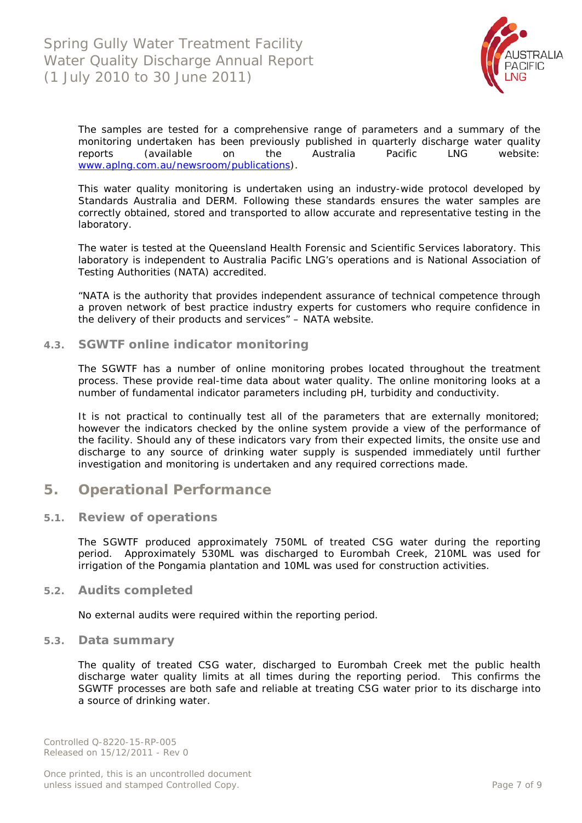

The samples are tested for a comprehensive range of parameters and a summary of the monitoring undertaken has been previously published in quarterly discharge water quality reports (available on the Australia Pacific LNG website: [www.aplng.com.au/newsroom/publications\)](http://www.aplng.com.au/newsroom/publications).

This water quality monitoring is undertaken using an industry-wide protocol developed by Standards Australia and DERM. Following these standards ensures the water samples are correctly obtained, stored and transported to allow accurate and representative testing in the laboratory.

The water is tested at the Queensland Health Forensic and Scientific Services laboratory. This laboratory is independent to Australia Pacific LNG's operations and is National Association of Testing Authorities (NATA) accredited.

*"NATA is the authority that provides independent assurance of technical competence through a proven network of best practice industry experts for customers who require confidence in the delivery of their products and services"* – NATA website.

<span id="page-6-0"></span>**4.3. SGWTF online indicator monitoring**

The SGWTF has a number of online monitoring probes located throughout the treatment process. These provide real-time data about water quality. The online monitoring looks at a number of fundamental indicator parameters including pH, turbidity and conductivity.

It is not practical to continually test all of the parameters that are externally monitored; however the indicators checked by the online system provide a view of the performance of the facility. Should any of these indicators vary from their expected limits, the onsite use and discharge to any source of drinking water supply is suspended immediately until further investigation and monitoring is undertaken and any required corrections made.

## <span id="page-6-1"></span>**5. Operational Performance**

#### <span id="page-6-2"></span>**5.1. Review of operations**

The SGWTF produced approximately 750ML of treated CSG water during the reporting period. Approximately 530ML was discharged to Eurombah Creek, 210ML was used for irrigation of the Pongamia plantation and 10ML was used for construction activities.

#### <span id="page-6-3"></span>**5.2. Audits completed**

No external audits were required within the reporting period.

#### <span id="page-6-4"></span>**5.3. Data summary**

The quality of treated CSG water, discharged to Eurombah Creek met the public health discharge water quality limits at all times during the reporting period. This confirms the SGWTF processes are both safe and reliable at treating CSG water prior to its discharge into a source of drinking water.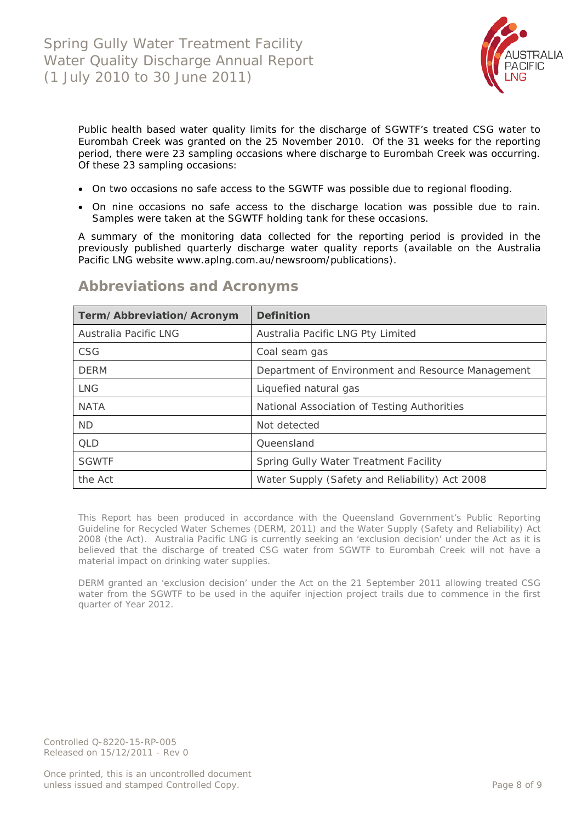

Public health based water quality limits for the discharge of SGWTF's treated CSG water to Eurombah Creek was granted on the 25 November 2010. Of the 31 weeks for the reporting period, there were 23 sampling occasions where discharge to Eurombah Creek was occurring. Of these 23 sampling occasions:

- On two occasions no safe access to the SGWTF was possible due to regional flooding.
- On nine occasions no safe access to the discharge location was possible due to rain. Samples were taken at the SGWTF holding tank for these occasions.

A summary of the monitoring data collected for the reporting period is provided in the previously published quarterly discharge water quality reports (available on the Australia Pacific LNG website www.aplng.com.au/newsroom/publications).

| Term/Abbreviation/Acronym | <b>Definition</b>                                 |  |
|---------------------------|---------------------------------------------------|--|
| Australia Pacific LNG     | Australia Pacific LNG Pty Limited                 |  |
| CSG                       | Coal seam gas                                     |  |
| <b>DFRM</b>               | Department of Environment and Resource Management |  |
| <b>LNG</b>                | Liquefied natural gas                             |  |
| <b>NATA</b>               | National Association of Testing Authorities       |  |
| <b>ND</b>                 | Not detected                                      |  |
| <b>QLD</b>                | Queensland                                        |  |
| <b>SGWTF</b>              | Spring Gully Water Treatment Facility             |  |
| the Act                   | Water Supply (Safety and Reliability) Act 2008    |  |

## <span id="page-7-0"></span>**Abbreviations and Acronyms**

This Report has been produced in accordance with the Queensland Government's *Public Reporting Guideline for Recycled Water Schemes* (DERM, 2011) and the *Water Supply (Safety and Reliability) Act 2008* (the Act). Australia Pacific LNG is currently seeking an 'exclusion decision' under the Act as it is believed that the discharge of treated CSG water from SGWTF to Eurombah Creek will not have a material impact on drinking water supplies.

DERM granted an 'exclusion decision' under the Act on the 21 September 2011 allowing treated CSG water from the SGWTF to be used in the aquifer injection project trails due to commence in the first quarter of Year 2012.